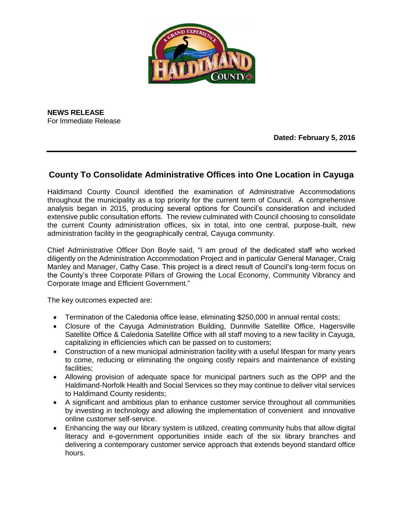

**NEWS RELEASE** For Immediate Release

**Dated: February 5, 2016**

## **County To Consolidate Administrative Offices into One Location in Cayuga**

Haldimand County Council identified the examination of Administrative Accommodations throughout the municipality as a top priority for the current term of Council. A comprehensive analysis began in 2015, producing several options for Council's consideration and included extensive public consultation efforts. The review culminated with Council choosing to consolidate the current County administration offices, six in total, into one central, purpose-built, new administration facility in the geographically central, Cayuga community.

Chief Administrative Officer Don Boyle said, "I am proud of the dedicated staff who worked diligently on the Administration Accommodation Project and in particular General Manager, Craig Manley and Manager, Cathy Case. This project is a direct result of Council's long-term focus on the County's three Corporate Pillars of Growing the Local Economy, Community Vibrancy and Corporate Image and Efficient Government."

The key outcomes expected are:

- Termination of the Caledonia office lease, eliminating \$250,000 in annual rental costs;
- Closure of the Cayuga Administration Building, Dunnville Satellite Office, Hagersville Satellite Office & Caledonia Satellite Office with all staff moving to a new facility in Cayuga, capitalizing in efficiencies which can be passed on to customers;
- Construction of a new municipal administration facility with a useful lifespan for many years to come, reducing or eliminating the ongoing costly repairs and maintenance of existing facilities;
- Allowing provision of adequate space for municipal partners such as the OPP and the Haldimand-Norfolk Health and Social Services so they may continue to deliver vital services to Haldimand County residents;
- A significant and ambitious plan to enhance customer service throughout all communities by investing in technology and allowing the implementation of convenient and innovative online customer self-service.
- Enhancing the way our library system is utilized, creating community hubs that allow digital literacy and e-government opportunities inside each of the six library branches and delivering a contemporary customer service approach that extends beyond standard office hours.